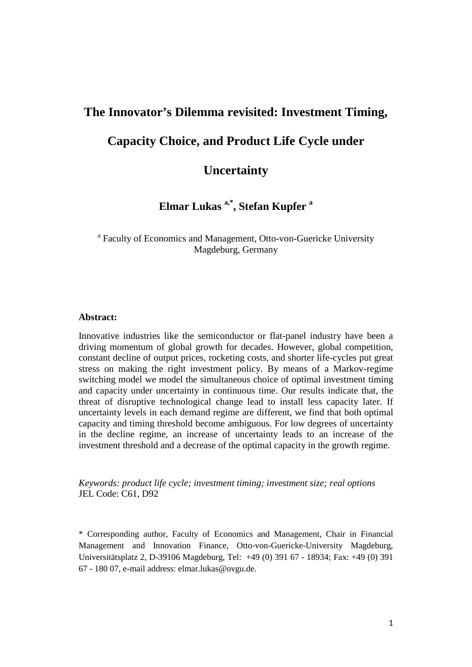# **The Innovator's Dilemma revisited: Investment Timing, Capacity Choice, and Product Life Cycle under**

## **Uncertainty**

**Elmar Lukas a,\*, Stefan Kupfer a**

<sup>a</sup> Faculty of Economics and Management, Otto-von-Guericke University Magdeburg, Germany

#### **Abstract:**

Innovative industries like the semiconductor or flat-panel industry have been a driving momentum of global growth for decades. However, global competition, constant decline of output prices, rocketing costs, and shorter life-cycles put great stress on making the right investment policy. By means of a Markov-regime switching model we model the simultaneous choice of optimal investment timing and capacity under uncertainty in continuous time. Our results indicate that, the threat of disruptive technological change lead to install less capacity later. If uncertainty levels in each demand regime are different, we find that both optimal capacity and timing threshold become ambiguous. For low degrees of uncertainty in the decline regime, an increase of uncertainty leads to an increase of the investment threshold and a decrease of the optimal capacity in the growth regime.

*Keywords: product life cycle; investment timing; investment size; real options*  JEL Code: C61, D92

\* Corresponding author, Faculty of Economics and Management, Chair in Financial Management and Innovation Finance, Otto-von-Guericke-University Magdeburg, Universitätsplatz 2, D-39106 Magdeburg, Tel: +49 (0) 391 67 - 18934; Fax: +49 (0) 391 67 - 180 07, e-mail address: elmar.lukas@ovgu.de.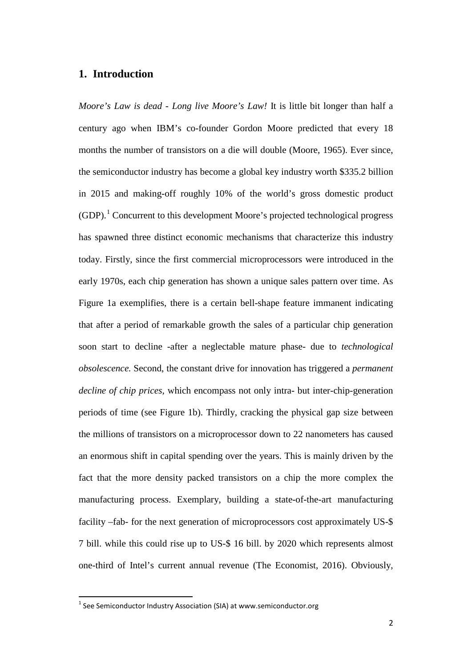## **1. Introduction**

*Moore's Law is dead - Long live Moore's Law!* It is little bit longer than half a century ago when IBM's co-founder Gordon Moore predicted that every 18 months the number of transistors on a die will double (Moore, 1965). Ever since, the semiconductor industry has become a global key industry worth \$335.2 billion in 2015 and making-off roughly 10% of the world's gross domestic product (GDP).[1](#page-1-0) Concurrent to this development Moore's projected technological progress has spawned three distinct economic mechanisms that characterize this industry today. Firstly, since the first commercial microprocessors were introduced in the early 1970s, each chip generation has shown a unique sales pattern over time. As Figure 1a exemplifies, there is a certain bell-shape feature immanent indicating that after a period of remarkable growth the sales of a particular chip generation soon start to decline -after a neglectable mature phase- due to *technological obsolescence.* Second, the constant drive for innovation has triggered a *permanent decline of chip prices,* which encompass not only intra- but inter-chip-generation periods of time (see Figure 1b). Thirdly, cracking the physical gap size between the millions of transistors on a microprocessor down to 22 nanometers has caused an enormous shift in capital spending over the years. This is mainly driven by the fact that the more density packed transistors on a chip the more complex the manufacturing process. Exemplary, building a state-of-the-art manufacturing facility –fab- for the next generation of microprocessors cost approximately US-\$ 7 bill. while this could rise up to US-\$ 16 bill. by 2020 which represents almost one-third of Intel's current annual revenue (The Economist, 2016). Obviously,

<span id="page-1-0"></span> $1$  See Semiconductor Industry Association (SIA) at www.semiconductor.org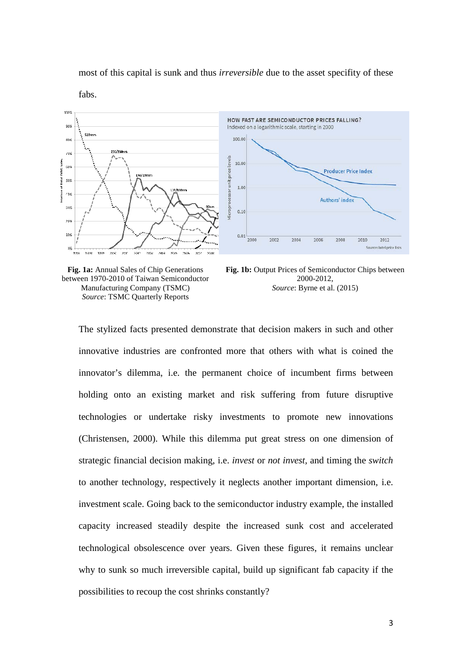#### most of this capital is sunk and thus *irreversible* due to the asset specifity of these





**Fig. 1a:** Annual Sales of Chip Generations between 1970-2010 of Taiwan Semiconductor Manufacturing Company (TSMC) *Source*: TSMC Quarterly Reports

**Fig. 1b:** Output Prices of Semiconductor Chips between 2000-2012, *Source*: Byrne et al. (2015)

The stylized facts presented demonstrate that decision makers in such and other innovative industries are confronted more that others with what is coined the innovator's dilemma, i.e. the permanent choice of incumbent firms between holding onto an existing market and risk suffering from future disruptive technologies or undertake risky investments to promote new innovations (Christensen, 2000). While this dilemma put great stress on one dimension of strategic financial decision making, i.e. *invest* or *not invest,* and timing the *switch* to another technology, respectively it neglects another important dimension, i.e. investment scale. Going back to the semiconductor industry example, the installed capacity increased steadily despite the increased sunk cost and accelerated technological obsolescence over years. Given these figures, it remains unclear why to sunk so much irreversible capital, build up significant fab capacity if the possibilities to recoup the cost shrinks constantly?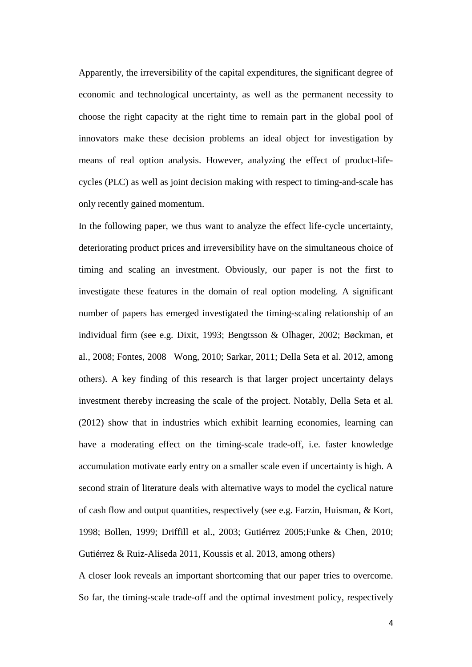Apparently, the irreversibility of the capital expenditures, the significant degree of economic and technological uncertainty, as well as the permanent necessity to choose the right capacity at the right time to remain part in the global pool of innovators make these decision problems an ideal object for investigation by means of real option analysis. However, analyzing the effect of product-lifecycles (PLC) as well as joint decision making with respect to timing-and-scale has only recently gained momentum.

In the following paper, we thus want to analyze the effect life-cycle uncertainty, deteriorating product prices and irreversibility have on the simultaneous choice of timing and scaling an investment. Obviously, our paper is not the first to investigate these features in the domain of real option modeling. A significant number of papers has emerged investigated the timing-scaling relationship of an individual firm (see e.g. Dixit, 1993; Bengtsson & Olhager, 2002; Bøckman, et al., 2008; Fontes, 2008 Wong, 2010; Sarkar, 2011; Della Seta et al. 2012, among others). A key finding of this research is that larger project uncertainty delays investment thereby increasing the scale of the project. Notably, Della Seta et al. (2012) show that in industries which exhibit learning economies, learning can have a moderating effect on the timing-scale trade-off, i.e. faster knowledge accumulation motivate early entry on a smaller scale even if uncertainty is high. A second strain of literature deals with alternative ways to model the cyclical nature of cash flow and output quantities, respectively (see e.g. Farzin, Huisman, & Kort, 1998; Bollen, 1999; Driffill et al., 2003; Gutiérrez 2005;Funke & Chen, 2010; Gutiérrez & Ruiz-Aliseda 2011, Koussis et al. 2013, among others)

A closer look reveals an important shortcoming that our paper tries to overcome. So far, the timing-scale trade-off and the optimal investment policy, respectively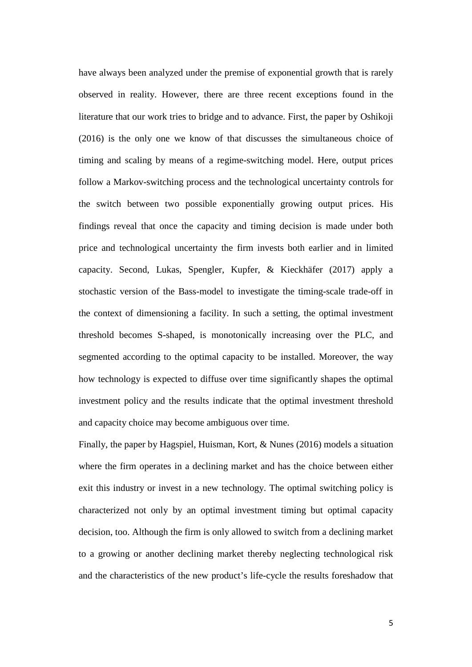have always been analyzed under the premise of exponential growth that is rarely observed in reality. However, there are three recent exceptions found in the literature that our work tries to bridge and to advance. First, the paper by Oshikoji (2016) is the only one we know of that discusses the simultaneous choice of timing and scaling by means of a regime-switching model. Here, output prices follow a Markov-switching process and the technological uncertainty controls for the switch between two possible exponentially growing output prices. His findings reveal that once the capacity and timing decision is made under both price and technological uncertainty the firm invests both earlier and in limited capacity. Second, Lukas, Spengler, Kupfer, & Kieckhäfer (2017) apply a stochastic version of the Bass-model to investigate the timing-scale trade-off in the context of dimensioning a facility. In such a setting, the optimal investment threshold becomes S-shaped, is monotonically increasing over the PLC, and segmented according to the optimal capacity to be installed. Moreover, the way how technology is expected to diffuse over time significantly shapes the optimal investment policy and the results indicate that the optimal investment threshold and capacity choice may become ambiguous over time.

Finally, the paper by Hagspiel, Huisman, Kort, & Nunes (2016) models a situation where the firm operates in a declining market and has the choice between either exit this industry or invest in a new technology. The optimal switching policy is characterized not only by an optimal investment timing but optimal capacity decision, too. Although the firm is only allowed to switch from a declining market to a growing or another declining market thereby neglecting technological risk and the characteristics of the new product's life-cycle the results foreshadow that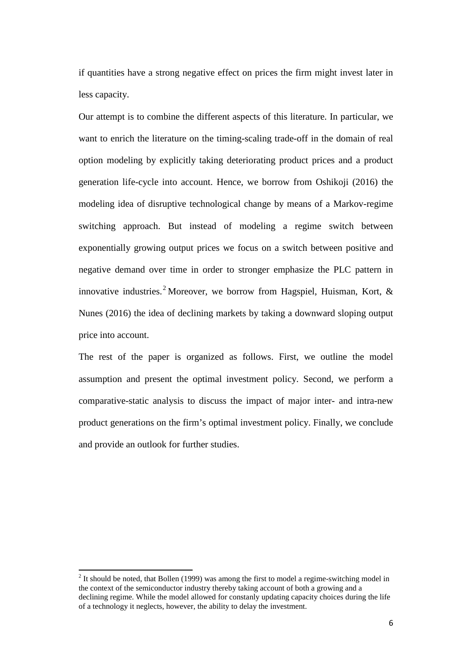if quantities have a strong negative effect on prices the firm might invest later in less capacity.

Our attempt is to combine the different aspects of this literature. In particular, we want to enrich the literature on the timing-scaling trade-off in the domain of real option modeling by explicitly taking deteriorating product prices and a product generation life-cycle into account. Hence, we borrow from Oshikoji (2016) the modeling idea of disruptive technological change by means of a Markov-regime switching approach. But instead of modeling a regime switch between exponentially growing output prices we focus on a switch between positive and negative demand over time in order to stronger emphasize the PLC pattern in innovative industries.<sup>[2](#page-5-0)</sup> Moreover, we borrow from Hagspiel, Huisman, Kort,  $\&$ Nunes (2016) the idea of declining markets by taking a downward sloping output price into account.

The rest of the paper is organized as follows. First, we outline the model assumption and present the optimal investment policy. Second, we perform a comparative-static analysis to discuss the impact of major inter- and intra-new product generations on the firm's optimal investment policy. Finally, we conclude and provide an outlook for further studies.

<span id="page-5-0"></span> $2$  It should be noted, that Bollen (1999) was among the first to model a regime-switching model in the context of the semiconductor industry thereby taking account of both a growing and a declining regime. While the model allowed for constanly updating capacity choices during the life of a technology it neglects, however, the ability to delay the investment.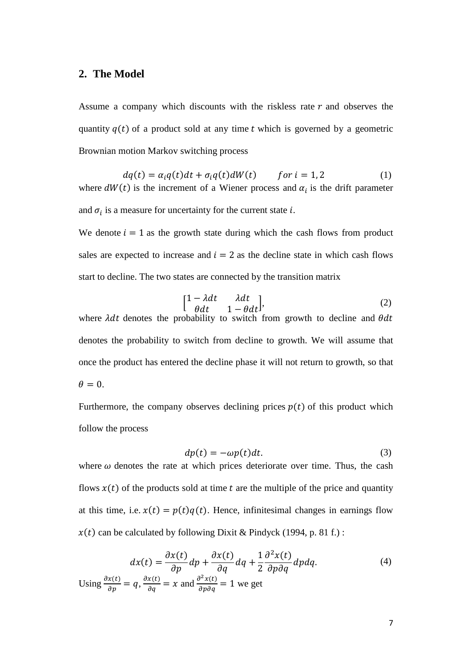## **2. The Model**

Assume a company which discounts with the riskless rate  $r$  and observes the quantity  $q(t)$  of a product sold at any time t which is governed by a geometric Brownian motion Markov switching process

 $dq(t) = \alpha_i q(t) dt + \sigma_i q(t) dW(t)$  for  $i = 1, 2$  (1) where  $dW(t)$  is the increment of a Wiener process and  $\alpha_i$  is the drift parameter and  $\sigma_i$  is a measure for uncertainty for the current state *i*.

We denote  $i = 1$  as the growth state during which the cash flows from product sales are expected to increase and  $i = 2$  as the decline state in which cash flows start to decline. The two states are connected by the transition matrix

<span id="page-6-0"></span>
$$
\begin{bmatrix} 1 - \lambda dt & \lambda dt \\ \theta dt & 1 - \theta dt \end{bmatrix}, \tag{2}
$$

where  $\lambda dt$  denotes the probability to switch from growth to decline and  $\theta$ denotes the probability to switch from decline to growth. We will assume that once the product has entered the decline phase it will not return to growth, so that  $\theta = 0$ .

Furthermore, the company observes declining prices  $p(t)$  of this product which follow the process

<span id="page-6-1"></span>
$$
dp(t) = -\omega p(t)dt.
$$
 (3)

where  $\omega$  denotes the rate at which prices deteriorate over time. Thus, the cash flows  $x(t)$  of the products sold at time t are the multiple of the price and quantity at this time, i.e.  $x(t) = p(t)q(t)$ . Hence, infinitesimal changes in earnings flow  $x(t)$  can be calculated by following Dixit & Pindyck (1994, p. 81 f.):

$$
dx(t) = \frac{\partial x(t)}{\partial p} dp + \frac{\partial x(t)}{\partial q} dq + \frac{1}{2} \frac{\partial^2 x(t)}{\partial p \partial q} dp dq.
$$
  
Using  $\frac{\partial x(t)}{\partial p} = q$ ,  $\frac{\partial x(t)}{\partial q} = x$  and  $\frac{\partial^2 x(t)}{\partial p \partial q} = 1$  we get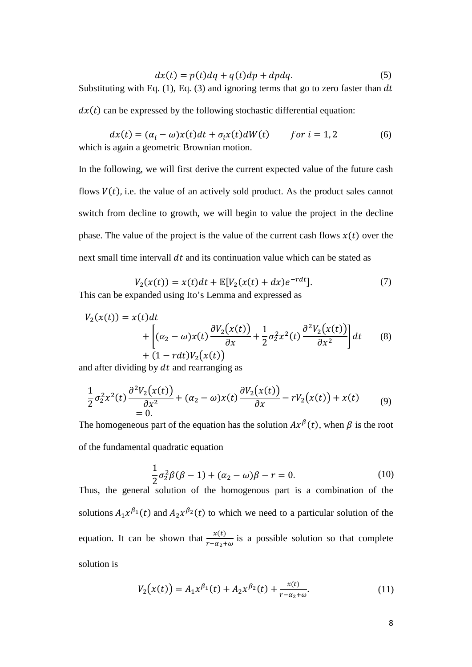$$
dx(t) = p(t)dq + q(t)dp + dpdq.
$$
 (5)

Substituting with Eq.  $(1)$ , Eq.  $(3)$  and ignoring terms that go to zero faster than dt  $dx(t)$  can be expressed by the following stochastic differential equation:

 $dx(t) = (\alpha_i - \omega)x(t)dt + \sigma_i x(t)dW(t)$  for  $i = 1, 2$  (6) which is again a geometric Brownian motion.

In the following, we will first derive the current expected value of the future cash flows  $V(t)$ , i.e. the value of an actively sold product. As the product sales cannot switch from decline to growth, we will begin to value the project in the decline phase. The value of the project is the value of the current cash flows  $x(t)$  over the next small time intervall  $dt$  and its continuation value which can be stated as

$$
V_2(x(t)) = x(t)dt + \mathbb{E}[V_2(x(t) + dx)e^{-rdt}].
$$
 (7)

This can be expanded using Ito's Lemma and expressed as

$$
V_2(x(t)) = x(t)dt + \left[ (\alpha_2 - \omega)x(t) \frac{\partial V_2(x(t))}{\partial x} + \frac{1}{2} \sigma_2^2 x^2(t) \frac{\partial^2 V_2(x(t))}{\partial x^2} \right] dt
$$
(8)  
+ (1 - rdt) V<sub>2</sub>(x(t))

and after dividing by  $dt$  and rearranging as

$$
\frac{1}{2}\sigma_2^2 x^2(t) \frac{\partial^2 V_2(x(t))}{\partial x^2} + (\alpha_2 - \omega)x(t) \frac{\partial V_2(x(t))}{\partial x} - rV_2(x(t)) + x(t) \tag{9}
$$

The homogeneous part of the equation has the solution  $Ax^{\beta}(t)$ , when  $\beta$  is the root of the fundamental quadratic equation

$$
\frac{1}{2}\sigma_2^2\beta(\beta-1) + (\alpha_2 - \omega)\beta - r = 0.
$$
\n(10)

Thus, the general solution of the homogenous part is a combination of the solutions  $A_1x^{\beta_1}(t)$  and  $A_2x^{\beta_2}(t)$  to which we need to a particular solution of the equation. It can be shown that  $\frac{x(t)}{r - \alpha_2 + \omega}$  is a possible solution so that complete solution is

$$
V_2(x(t)) = A_1 x^{\beta_1}(t) + A_2 x^{\beta_2}(t) + \frac{x(t)}{r - \alpha_2 + \omega}.
$$
 (11)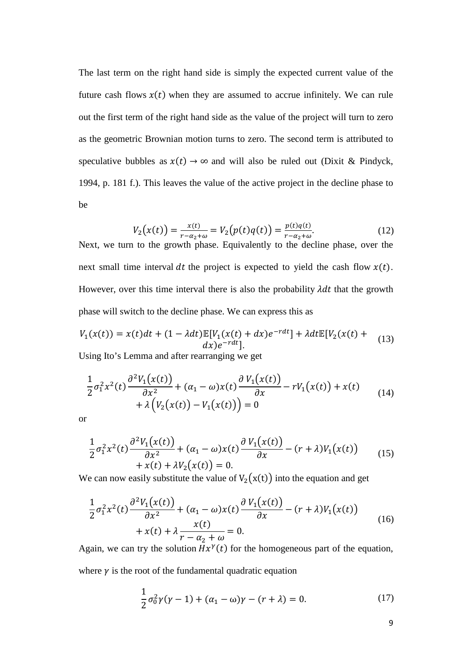The last term on the right hand side is simply the expected current value of the future cash flows  $x(t)$  when they are assumed to accrue infinitely. We can rule out the first term of the right hand side as the value of the project will turn to zero as the geometric Brownian motion turns to zero. The second term is attributed to speculative bubbles as  $x(t) \rightarrow \infty$  and will also be ruled out (Dixit & Pindyck, 1994, p. 181 f.). This leaves the value of the active project in the decline phase to be

<span id="page-8-0"></span>
$$
V_2(x(t)) = \frac{x(t)}{r - \alpha_2 + \omega} = V_2(p(t)q(t)) = \frac{p(t)q(t)}{r - \alpha_2 + \omega}.
$$
 (12)

Next, we turn to the growth phase. Equivalently to the decline phase, over the next small time interval dt the project is expected to yield the cash flow  $x(t)$ . However, over this time interval there is also the probability  $\lambda dt$  that the growth phase will switch to the decline phase. We can express this as

$$
V_1(x(t)) = x(t)dt + (1 - \lambda dt)\mathbb{E}[V_1(x(t) + dx)e^{-rdt}] + \lambda dt \mathbb{E}[V_2(x(t) + dx)]
$$
\n
$$
dx)e^{-rdt}.
$$
\n(13)

Using Ito's Lemma and after rearranging we get

$$
\frac{1}{2}\sigma_1^2 x^2(t) \frac{\partial^2 V_1(x(t))}{\partial x^2} + (\alpha_1 - \omega)x(t) \frac{\partial V_1(x(t))}{\partial x} - rV_1(x(t)) + x(t) \n+ \lambda \Big(V_2(x(t)) - V_1(x(t))\Big) = 0
$$
\n(14)

or

$$
\frac{1}{2}\sigma_1^2 x^2(t) \frac{\partial^2 V_1(x(t))}{\partial x^2} + (\alpha_1 - \omega)x(t) \frac{\partial V_1(x(t))}{\partial x} - (r + \lambda)V_1(x(t)) + x(t) + \lambda V_2(x(t)) = 0.
$$
\n(15)

We can now easily substitute the value of  $V_2(x(t))$  into the equation and get

$$
\frac{1}{2}\sigma_1^2 x^2(t) \frac{\partial^2 V_1(x(t))}{\partial x^2} + (\alpha_1 - \omega)x(t) \frac{\partial V_1(x(t))}{\partial x} - (r + \lambda)V_1(x(t))
$$
  
+  $x(t) + \lambda \frac{x(t)}{r - \alpha_2 + \omega} = 0.$  (16)

Again, we can try the solution  $Hx^{\gamma}(t)$  for the homogeneous part of the equation,

where  $\gamma$  is the root of the fundamental quadratic equation

<span id="page-8-1"></span>
$$
\frac{1}{2}\sigma_0^2 \gamma(\gamma - 1) + (\alpha_1 - \omega)\gamma - (r + \lambda) = 0.
$$
 (17)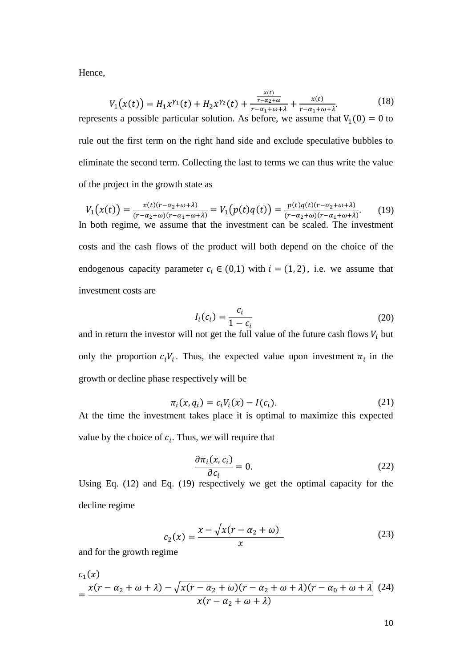Hence,

$$
V_1(x(t)) = H_1 x^{\gamma_1}(t) + H_2 x^{\gamma_2}(t) + \frac{\frac{x(t)}{r - \alpha_2 + \omega}}{r - \alpha_1 + \omega + \lambda} + \frac{x(t)}{r - \alpha_1 + \omega + \lambda}.
$$
 (18)

represents a possible particular solution. As before, we assume that  $V_1(0) = 0$  to rule out the first term on the right hand side and exclude speculative bubbles to eliminate the second term. Collecting the last to terms we can thus write the value of the project in the growth state as

$$
V_1(x(t)) = \frac{x(t)(r - \alpha_2 + \omega + \lambda)}{(r - \alpha_2 + \omega)(r - \alpha_1 + \omega + \lambda)} = V_1(p(t)q(t)) = \frac{p(t)q(t)(r - \alpha_2 + \omega + \lambda)}{(r - \alpha_2 + \omega)(r - \alpha_1 + \omega + \lambda)}.
$$
 (19)  
In both regime, we assume that the investment can be scaled. The investment

costs and the cash flows of the product will both depend on the choice of the endogenous capacity parameter  $c_i \in (0,1)$  with  $i = (1,2)$ , i.e. we assume that investment costs are

<span id="page-9-0"></span>
$$
I_i(c_i) = \frac{c_i}{1 - c_i} \tag{20}
$$

and in return the investor will not get the full value of the future cash flows  $V_i$  but only the proportion  $c_iV_i$ . Thus, the expected value upon investment  $\pi_i$  in the growth or decline phase respectively will be

$$
\pi_i(x, q_i) = c_i V_i(x) - I(c_i).
$$
 (21)

At the time the investment takes place it is optimal to maximize this expected value by the choice of  $c_i$ . Thus, we will require that

<span id="page-9-2"></span><span id="page-9-1"></span>
$$
\frac{\partial \pi_i(x, c_i)}{\partial c_i} = 0.
$$
 (22)

Using Eq. [\(12\)](#page-8-0) and Eq. [\(19\)](#page-9-0) respectively we get the optimal capacity for the decline regime

$$
c_2(x) = \frac{x - \sqrt{x(r - \alpha_2 + \omega)}}{x}
$$
 (23)

and for the growth regime

$$
c_1(x)
$$
  
= 
$$
\frac{x(r - \alpha_2 + \omega + \lambda) - \sqrt{x(r - \alpha_2 + \omega)(r - \alpha_2 + \omega + \lambda)(r - \alpha_0 + \omega + \lambda)}{x(r - \alpha_2 + \omega + \lambda)}
$$
 (24)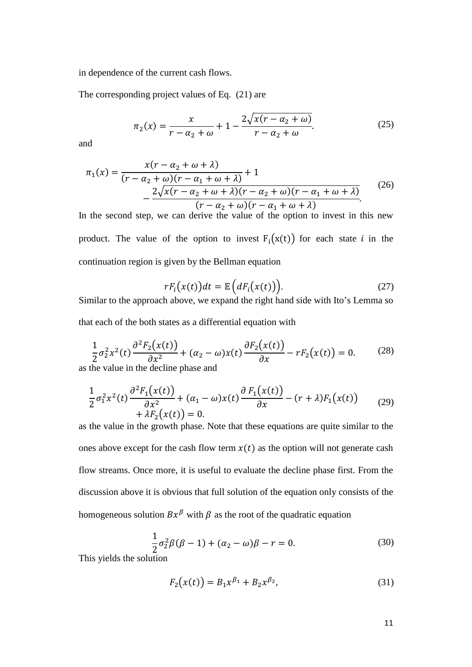in dependence of the current cash flows.

The corresponding project values of Eq. [\(21\)](#page-9-1) are

$$
\pi_2(x) = \frac{x}{r - \alpha_2 + \omega} + 1 - \frac{2\sqrt{x(r - \alpha_2 + \omega)}}{r - \alpha_2 + \omega}.\tag{25}
$$

and

$$
\pi_1(x) = \frac{x(r - \alpha_2 + \omega + \lambda)}{(r - \alpha_2 + \omega)(r - \alpha_1 + \omega + \lambda)} + 1
$$
  
 
$$
- \frac{2\sqrt{x(r - \alpha_2 + \omega + \lambda)(r - \alpha_2 + \omega)(r - \alpha_1 + \omega + \lambda)}}{(r - \alpha_2 + \omega)(r - \alpha_1 + \omega + \lambda)}.
$$
 (26)

In the second step, we can derive the value of the option to invest in this new product. The value of the option to invest  $F_i(x(t))$  for each state *i* in the continuation region is given by the Bellman equation

<span id="page-10-0"></span>
$$
rF_i(x(t))dt = \mathbb{E}\Big(dF_i(x(t))\Big). \tag{27}
$$

Similar to the approach above, we expand the right hand side with Ito's Lemma so that each of the both states as a differential equation with

$$
\frac{1}{2}\sigma_2^2 x^2(t) \frac{\partial^2 F_2(x(t))}{\partial x^2} + (\alpha_2 - \omega)x(t) \frac{\partial F_2(x(t))}{\partial x} - rF_2(x(t)) = 0.
$$
 (28)

as the value in the decline phase and

$$
\frac{1}{2}\sigma_1^2 x^2(t) \frac{\partial^2 F_1(x(t))}{\partial x^2} + (\alpha_1 - \omega)x(t) \frac{\partial F_1(x(t))}{\partial x} - (r + \lambda)F_1(x(t)) + \lambda F_2(x(t)) = 0.
$$
\n(29)

as the value in the growth phase. Note that these equations are quite similar to the ones above except for the cash flow term  $x(t)$  as the option will not generate cash flow streams. Once more, it is useful to evaluate the decline phase first. From the discussion above it is obvious that full solution of the equation only consists of the homogeneous solution  $Bx^{\beta}$  with  $\beta$  as the root of the quadratic equation

$$
\frac{1}{2}\sigma_2^2\beta(\beta-1) + (\alpha_2 - \omega)\beta - r = 0.
$$
\n(30)

This yields the solution

$$
F_2(x(t)) = B_1 x^{\beta_1} + B_2 x^{\beta_2},
$$
\n(31)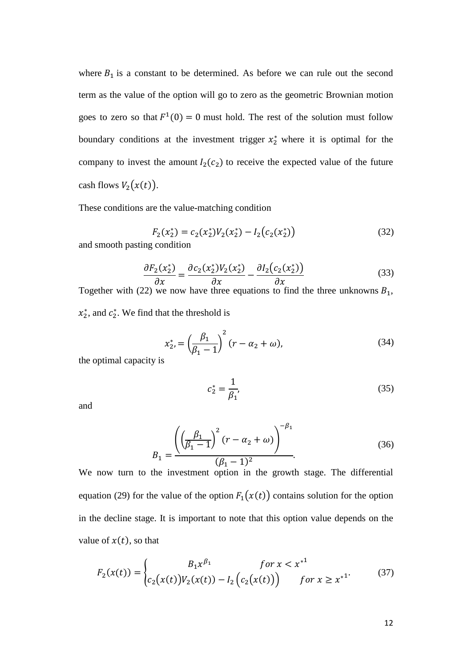where  $B_1$  is a constant to be determined. As before we can rule out the second term as the value of the option will go to zero as the geometric Brownian motion goes to zero so that  $F^1(0) = 0$  must hold. The rest of the solution must follow boundary conditions at the investment trigger  $x_2^*$  where it is optimal for the company to invest the amount  $I_2(c_2)$  to receive the expected value of the future cash flows  $V_2(x(t))$ .

These conditions are the value-matching condition

$$
F_2(x_2^*) = c_2(x_2^*)V_2(x_2^*) - I_2(c_2(x_2^*))
$$
\n93sting condition

\n(32)

and smooth pasting condition

$$
\frac{\partial F_2(x_2^*)}{\partial x} = \frac{\partial c_2(x_2^*) V_2(x_2^*)}{\partial x} - \frac{\partial I_2(c_2(x_2^*))}{\partial x}
$$
(33)

Together with [\(22\)](#page-9-2) we now have three equations to find the three unknowns  $B_1$ ,  $x_2^*$ , and  $c_2^*$ . We find that the threshold is

$$
x_2^* = \left(\frac{\beta_1}{\beta_1 - 1}\right)^2 (r - \alpha_2 + \omega),\tag{34}
$$

the optimal capacity is

$$
c_2^* = \frac{1}{\beta_1},\tag{35}
$$

and

$$
B_1 = \frac{\left( \left( \frac{\beta_1}{\beta_1 - 1} \right)^2 (r - \alpha_2 + \omega) \right)^{-\beta_1}}{(\beta_1 - 1)^2}.
$$
 (36)

We now turn to the investment option in the growth stage. The differential equation [\(29\)](#page-10-0) for the value of the option  $F_1(x(t))$  contains solution for the option in the decline stage. It is important to note that this option value depends on the value of  $x(t)$ , so that

$$
F_2(x(t)) = \begin{cases} B_1 x^{\beta_1} & \text{for } x < x^{*1} \\ c_2(x(t)) V_2(x(t)) - I_2 \left( c_2(x(t)) \right) & \text{for } x \ge x^{*1} \end{cases}
$$
(37)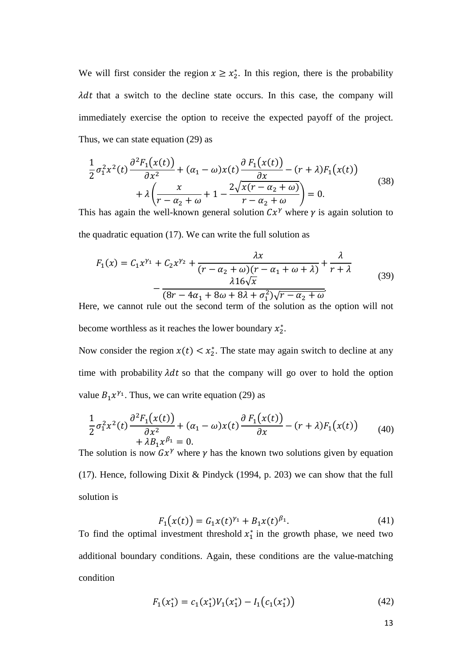We will first consider the region  $x \ge x_2^*$ . In this region, there is the probability  $\lambda dt$  that a switch to the decline state occurs. In this case, the company will immediately exercise the option to receive the expected payoff of the project. Thus, we can state equation [\(29\)](#page-10-0) as

$$
\frac{1}{2}\sigma_1^2 x^2(t) \frac{\partial^2 F_1(x(t))}{\partial x^2} + (\alpha_1 - \omega)x(t) \frac{\partial F_1(x(t))}{\partial x} - (r + \lambda)F_1(x(t))
$$
  
+  $\lambda \left( \frac{x}{r - \alpha_2 + \omega} + 1 - \frac{2\sqrt{x(r - \alpha_2 + \omega)}}{r - \alpha_2 + \omega} \right) = 0.$  (38)

This has again the well-known general solution  $Cx^{\gamma}$  where  $\gamma$  is again solution to the quadratic equation [\(17\).](#page-8-1) We can write the full solution as

<span id="page-12-0"></span>
$$
F_1(x) = C_1 x^{\gamma_1} + C_2 x^{\gamma_2} + \frac{\lambda x}{(r - \alpha_2 + \omega)(r - \alpha_1 + \omega + \lambda)} + \frac{\lambda}{r + \lambda}
$$
  
- 
$$
\frac{\lambda 16\sqrt{x}}{(8r - 4\alpha_1 + 8\omega + 8\lambda + \sigma_1^2)\sqrt{r - \alpha_2 + \omega}}.
$$
 (39)

Here, we cannot rule out the second term of the solution as the option will not become worthless as it reaches the lower boundary  $x_2^*$ .

Now consider the region  $x(t) < x_2^*$ . The state may again switch to decline at any time with probability  $\lambda dt$  so that the company will go over to hold the option value  $B_1x^{\gamma_1}$ . Thus, we can write equation [\(29\)](#page-10-0) as

$$
\frac{1}{2}\sigma_1^2 x^2(t) \frac{\partial^2 F_1(x(t))}{\partial x^2} + (\alpha_1 - \omega)x(t) \frac{\partial F_1(x(t))}{\partial x} - (r + \lambda)F_1(x(t)) + \lambda B_1 x^{\beta_1} = 0.
$$
\n(40)

The solution is now  $Gx^{\gamma}$  where  $\gamma$  has the known two solutions given by equation [\(17\).](#page-8-1) Hence, following Dixit & Pindyck (1994, p. 203) we can show that the full solution is

<span id="page-12-1"></span>
$$
F_1(x(t)) = G_1 x(t)^{\gamma_1} + B_1 x(t)^{\beta_1}.
$$
\n(41)

To find the optimal investment threshold  $x_1^*$  in the growth phase, we need two additional boundary conditions. Again, these conditions are the value-matching condition

$$
F_1(x_1^*) = c_1(x_1^*)V_1(x_1^*) - I_1(c_1(x_1^*))\tag{42}
$$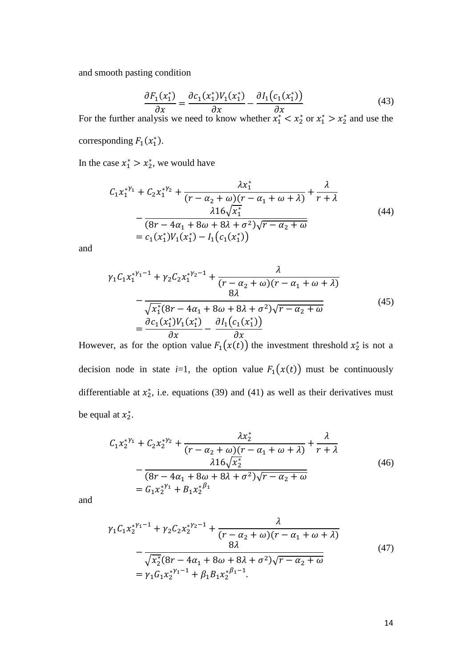and smooth pasting condition

$$
\frac{\partial F_1(x_1^*)}{\partial x} = \frac{\partial c_1(x_1^*) V_1(x_1^*)}{\partial x} - \frac{\partial I_1(c_1(x_1^*))}{\partial x}
$$
(43)

For the further analysis we need to know whether  $x_1^* < x_2^*$  or  $x_1^* > x_2^*$  and use the corresponding  $F_1(x_1^*)$ .

In the case  $x_1^* > x_2^*$ , we would have

$$
C_1 x_1^{*y_1} + C_2 x_1^{*y_2} + \frac{\lambda x_1^*}{(r - \alpha_2 + \omega)(r - \alpha_1 + \omega + \lambda)} + \frac{\lambda}{r + \lambda}
$$
  
 
$$
- \frac{\lambda 16 \sqrt{x_1^*}}{(8r - 4\alpha_1 + 8\omega + 8\lambda + \sigma^2)\sqrt{r - \alpha_2 + \omega}}
$$
  
=  $c_1(x_1^*)V_1(x_1^*) - I_1(c_1(x_1^*))$  (44)

and

$$
\gamma_1 C_1 x_1^{*\gamma_1 - 1} + \gamma_2 C_2 x_1^{*\gamma_2 - 1} + \frac{\lambda}{(r - \alpha_2 + \omega)(r - \alpha_1 + \omega + \lambda)}
$$
  
\n
$$
- \frac{\lambda}{\sqrt{x_1^*} (8r - 4\alpha_1 + 8\omega + 8\lambda + \sigma^2) \sqrt{r - \alpha_2 + \omega}}
$$
  
\n
$$
= \frac{\partial c_1(x_1^*) V_1(x_1^*)}{\partial x} - \frac{\partial I_1(c_1(x_1^*))}{\partial x}
$$
\n(45)

However, as for the option value  $F_1(x(t))$  the investment threshold  $x_2^*$  is not a decision node in state  $i=1$ , the option value  $F_1(x(t))$  must be continuously differentiable at  $x_2^*$ , i.e. equations [\(39\)](#page-12-0) and [\(41\)](#page-12-1) as well as their derivatives must be equal at  $x_2^*$ .

$$
C_{1}x_{2}^{*y_{1}} + C_{2}x_{2}^{*y_{2}} + \frac{\lambda x_{2}^{*}}{(r - \alpha_{2} + \omega)(r - \alpha_{1} + \omega + \lambda)} + \frac{\lambda}{r + \lambda}
$$
  
 
$$
-\frac{\lambda 16\sqrt{x_{2}^{*}}}{(8r - 4\alpha_{1} + 8\omega + 8\lambda + \sigma^{2})\sqrt{r - \alpha_{2} + \omega}}
$$
  
=  $G_{1}x_{2}^{*y_{1}} + B_{1}x_{2}^{*y_{1}}$  (46)

and

$$
\gamma_1 C_1 x_2^{* \gamma_1 - 1} + \gamma_2 C_2 x_2^{* \gamma_2 - 1} + \frac{\lambda}{(r - \alpha_2 + \omega)(r - \alpha_1 + \omega + \lambda)}
$$
  
 
$$
- \frac{\lambda}{\sqrt{x_2^* (8r - 4\alpha_1 + 8\omega + 8\lambda + \sigma^2) \sqrt{r - \alpha_2 + \omega}}}
$$
  
=  $\gamma_1 G_1 x_2^{* \gamma_1 - 1} + \beta_1 B_1 x_2^{* \beta_1 - 1}.$  (47)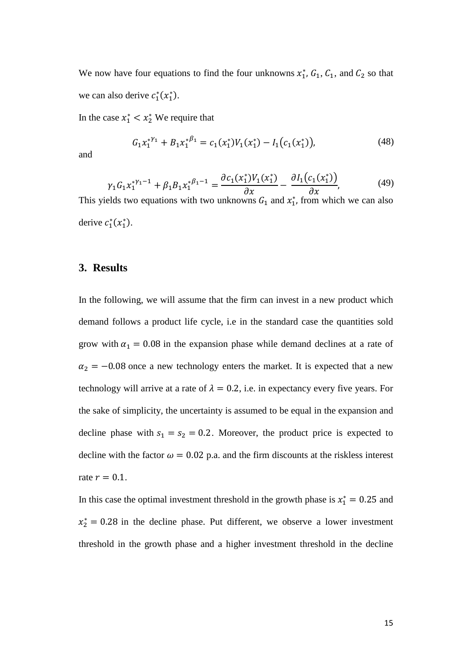We now have four equations to find the four unknowns  $x_1^*$ ,  $G_1$ ,  $C_1$ , and  $C_2$  so that we can also derive  $c_1^*(x_1^*)$ .

In the case  $x_1^* < x_2^*$  We require that

$$
G_1 x_1^{*Y_1} + B_1 x_1^{*\beta_1} = c_1(x_1^*)V_1(x_1^*) - I_1(c_1(x_1^*)),
$$
\n(48)

and

$$
\gamma_1 G_1 x_1^{*\gamma_1 - 1} + \beta_1 B_1 x_1^{*\beta_1 - 1} = \frac{\partial c_1(x_1^*) V_1(x_1^*)}{\partial x} - \frac{\partial l_1(c_1(x_1^*))}{\partial x},\tag{49}
$$

This yields two equations with two unknowns  $G_1$  and  $x_1^*$ , from which we can also derive  $c_1^*(x_1^*)$ .

## **3. Results**

In the following, we will assume that the firm can invest in a new product which demand follows a product life cycle, i.e in the standard case the quantities sold grow with  $\alpha_1 = 0.08$  in the expansion phase while demand declines at a rate of  $\alpha_2 = -0.08$  once a new technology enters the market. It is expected that a new technology will arrive at a rate of  $\lambda = 0.2$ , i.e. in expectancy every five years. For the sake of simplicity, the uncertainty is assumed to be equal in the expansion and decline phase with  $s_1 = s_2 = 0.2$ . Moreover, the product price is expected to decline with the factor  $\omega = 0.02$  p.a. and the firm discounts at the riskless interest rate  $r = 0.1$ .

In this case the optimal investment threshold in the growth phase is  $x_1^* = 0.25$  and  $x_2^* = 0.28$  in the decline phase. Put different, we observe a lower investment threshold in the growth phase and a higher investment threshold in the decline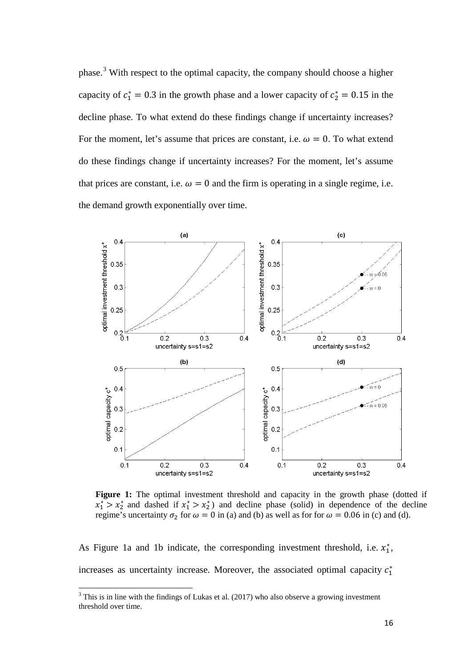phase.[3](#page-15-0) With respect to the optimal capacity, the company should choose a higher capacity of  $c_1^* = 0.3$  in the growth phase and a lower capacity of  $c_2^* = 0.15$  in the decline phase. To what extend do these findings change if uncertainty increases? For the moment, let's assume that prices are constant, i.e.  $\omega = 0$ . To what extend do these findings change if uncertainty increases? For the moment, let's assume that prices are constant, i.e.  $\omega = 0$  and the firm is operating in a single regime, i.e. the demand growth exponentially over time.



Figure 1: The optimal investment threshold and capacity in the growth phase (dotted if  $x_1^*$  >  $x_2^*$  and dashed if  $x_1^*$  >  $x_2^*$ ) and decline phase (solid) in dependence of the decline regime's uncertainty  $\sigma_2$  for  $\omega = 0$  in (a) and (b) as well as for for  $\omega = 0.06$  in (c) and (d).

As Figure 1a and 1b indicate, the corresponding investment threshold, i.e.  $x_1^*$ , increases as uncertainty increase. Moreover, the associated optimal capacity  $c_1^*$ 

<span id="page-15-0"></span> $3$  This is in line with the findings of Lukas et al. (2017) who also observe a growing investment threshold over time.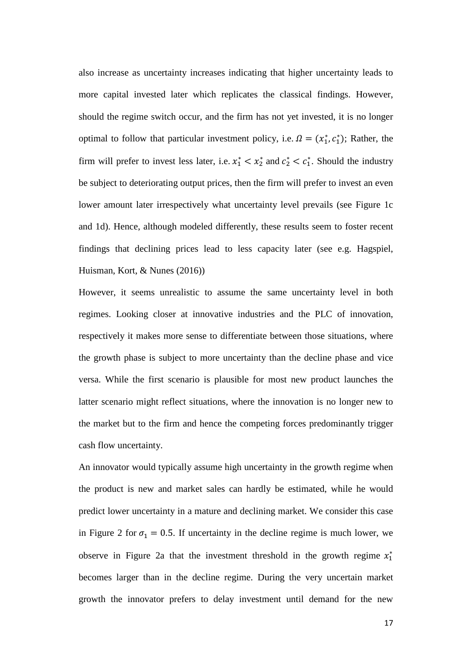also increase as uncertainty increases indicating that higher uncertainty leads to more capital invested later which replicates the classical findings. However, should the regime switch occur, and the firm has not yet invested, it is no longer optimal to follow that particular investment policy, i.e.  $\Omega = (x_1^*, c_1^*)$ ; Rather, the firm will prefer to invest less later, i.e.  $x_1^* < x_2^*$  and  $c_2^* < c_1^*$ . Should the industry be subject to deteriorating output prices, then the firm will prefer to invest an even lower amount later irrespectively what uncertainty level prevails (see Figure 1c and 1d). Hence, although modeled differently, these results seem to foster recent findings that declining prices lead to less capacity later (see e.g. Hagspiel, Huisman, Kort, & Nunes (2016))

However, it seems unrealistic to assume the same uncertainty level in both regimes. Looking closer at innovative industries and the PLC of innovation, respectively it makes more sense to differentiate between those situations, where the growth phase is subject to more uncertainty than the decline phase and vice versa. While the first scenario is plausible for most new product launches the latter scenario might reflect situations, where the innovation is no longer new to the market but to the firm and hence the competing forces predominantly trigger cash flow uncertainty.

An innovator would typically assume high uncertainty in the growth regime when the product is new and market sales can hardly be estimated, while he would predict lower uncertainty in a mature and declining market. We consider this case in [Figure 2](#page-17-0) for  $\sigma_1 = 0.5$ . If uncertainty in the decline regime is much lower, we observe in [Figure 2a](#page-17-0) that the investment threshold in the growth regime  $x_1^*$ becomes larger than in the decline regime. During the very uncertain market growth the innovator prefers to delay investment until demand for the new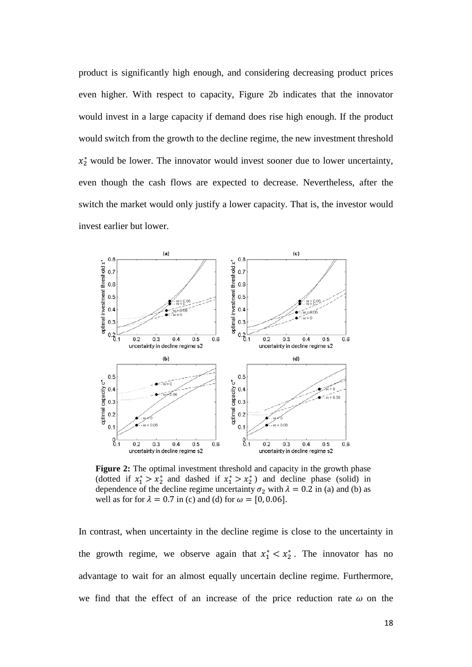product is significantly high enough, and considering decreasing product prices even higher. With respect to capacity, [Figure 2b](#page-17-0) indicates that the innovator would invest in a large capacity if demand does rise high enough. If the product would switch from the growth to the decline regime, the new investment threshold  $x_2^*$  would be lower. The innovator would invest sooner due to lower uncertainty, even though the cash flows are expected to decrease. Nevertheless, after the switch the market would only justify a lower capacity. That is, the investor would invest earlier but lower.



<span id="page-17-0"></span>**Figure 2:** The optimal investment threshold and capacity in the growth phase (dotted if  $x_1^* > x_2^*$  and dashed if  $x_1^* > x_2^*$ ) and decline phase (solid) in dependence of the decline regime uncertainty  $\sigma_2$  with  $\lambda = 0.2$  in (a) and (b) as well as for for  $\lambda = 0.7$  in (c) and (d) for  $\omega = [0, 0.06]$ .

In contrast, when uncertainty in the decline regime is close to the uncertainty in the growth regime, we observe again that  $x_1^* < x_2^*$ . The innovator has no advantage to wait for an almost equally uncertain decline regime. Furthermore, we find that the effect of an increase of the price reduction rate  $\omega$  on the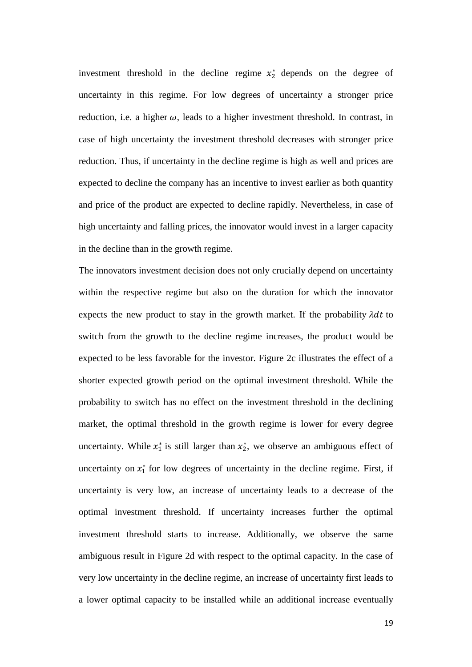investment threshold in the decline regime  $x_2^*$  depends on the degree of uncertainty in this regime. For low degrees of uncertainty a stronger price reduction, i.e. a higher  $\omega$ , leads to a higher investment threshold. In contrast, in case of high uncertainty the investment threshold decreases with stronger price reduction. Thus, if uncertainty in the decline regime is high as well and prices are expected to decline the company has an incentive to invest earlier as both quantity and price of the product are expected to decline rapidly. Nevertheless, in case of high uncertainty and falling prices, the innovator would invest in a larger capacity in the decline than in the growth regime.

The innovators investment decision does not only crucially depend on uncertainty within the respective regime but also on the duration for which the innovator expects the new product to stay in the growth market. If the probability  $\lambda dt$  to switch from the growth to the decline regime increases, the product would be expected to be less favorable for the investor. [Figure 2c](#page-17-0) illustrates the effect of a shorter expected growth period on the optimal investment threshold. While the probability to switch has no effect on the investment threshold in the declining market, the optimal threshold in the growth regime is lower for every degree uncertainty. While  $x_1^*$  is still larger than  $x_2^*$ , we observe an ambiguous effect of uncertainty on  $x_1^*$  for low degrees of uncertainty in the decline regime. First, if uncertainty is very low, an increase of uncertainty leads to a decrease of the optimal investment threshold. If uncertainty increases further the optimal investment threshold starts to increase. Additionally, we observe the same ambiguous result in [Figure 2d](#page-17-0) with respect to the optimal capacity. In the case of very low uncertainty in the decline regime, an increase of uncertainty first leads to a lower optimal capacity to be installed while an additional increase eventually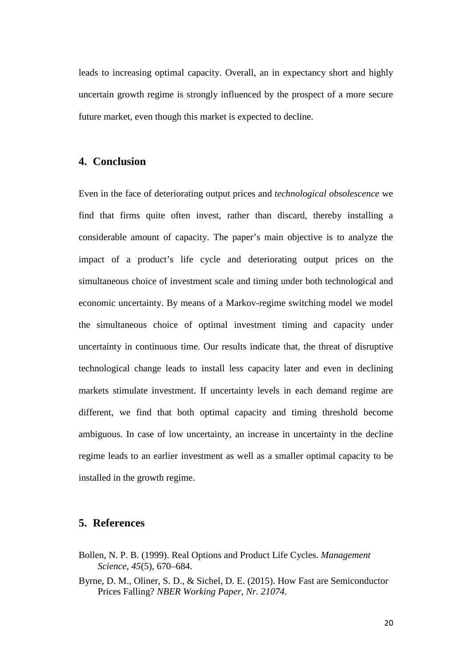leads to increasing optimal capacity. Overall, an in expectancy short and highly uncertain growth regime is strongly influenced by the prospect of a more secure future market, even though this market is expected to decline.

## **4. Conclusion**

Even in the face of deteriorating output prices and *technological obsolescence* we find that firms quite often invest, rather than discard, thereby installing a considerable amount of capacity. The paper's main objective is to analyze the impact of a product's life cycle and deteriorating output prices on the simultaneous choice of investment scale and timing under both technological and economic uncertainty. By means of a Markov-regime switching model we model the simultaneous choice of optimal investment timing and capacity under uncertainty in continuous time. Our results indicate that, the threat of disruptive technological change leads to install less capacity later and even in declining markets stimulate investment. If uncertainty levels in each demand regime are different, we find that both optimal capacity and timing threshold become ambiguous. In case of low uncertainty, an increase in uncertainty in the decline regime leads to an earlier investment as well as a smaller optimal capacity to be installed in the growth regime.

#### **5. References**

- Bollen, N. P. B. (1999). Real Options and Product Life Cycles. *Management Science*, *45*(5), 670–684.
- Byrne, D. M., Oliner, S. D., & Sichel, D. E. (2015). How Fast are Semiconductor Prices Falling? *NBER Working Paper*, *Nr. 21074*.